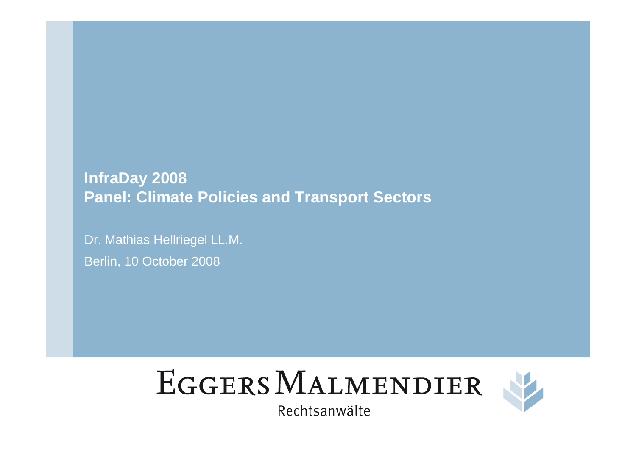**InfraDay 2008Panel: Climate Policies and Transport Sectors**

Dr. Mathias Hellriegel LL.M.Berlin, 10 October 2008





Rechtsanwälte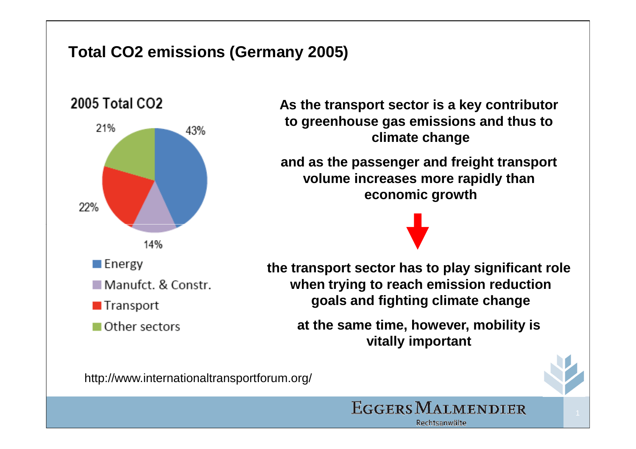### **Total CO2 emissions (Germany 2005)**



**As the transport sector is a key contributor to greenhouse gas emissions and thus to climate change**

**and as the passenger and freight transport volume increases more rapidly than economic growth**

**the transport sector has to play significant role when trying to reach emission reductiongoals and fighting climate change**

**at the same time, however, mobility is vitally important** 



http://www.internationaltransportforum.org/

EGGERS MALMENDIER Rechtsanwälte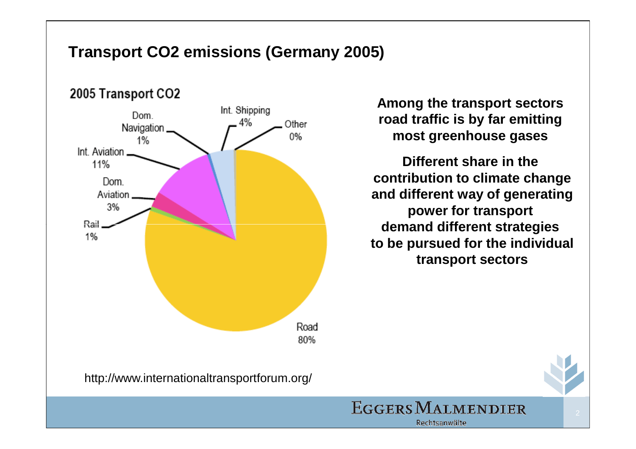### **Transport CO2 emissions (Germany 2005)**



**Among the transport sectors road traffic is by far emitting most greenhouse gases** 

**Different share in the contribution to climate change and different way of generatingpower for transport demand different strategies to be pursued for the individualtransport sectors**

**EGGERS MALMENDIER** 

Rechtsanwälte



2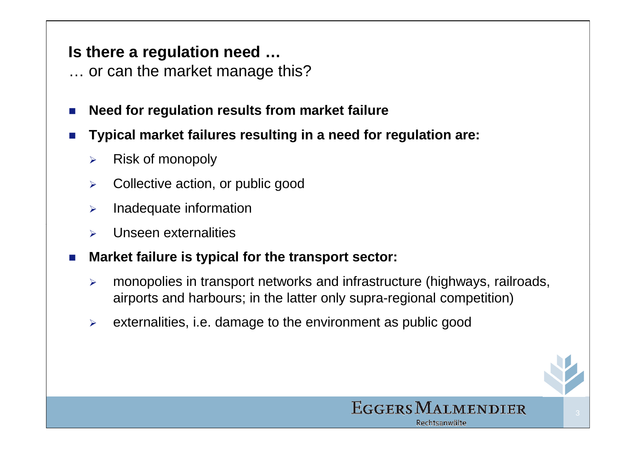### **Is there a regulation need …**

- … or can the market manage this?
- Π **Need for regulation results from market failure**
- Π **Typical market failures resulting in a need for regulation are:**
	- $\blacktriangleright$ Risk of monopoly
	- $\blacktriangleright$ Collective action, or public good
	- $\blacktriangleright$ Inadequate information
	- $\blacktriangleright$ Unseen externalities
- Π **Market failure is typical for the transport sector:**
	- $\blacktriangleright$  monopolies in transport networks and infrastructure (highways, railroads, airports and harbours; in the latter only supra-regional competition)
	- $\blacktriangleright$ externalities, i.e. damage to the environment as public good

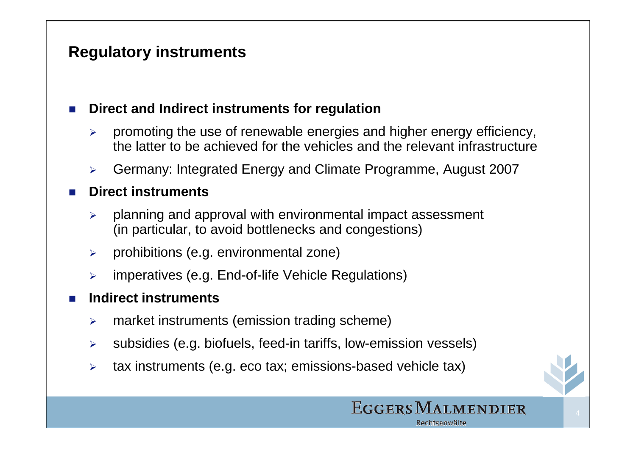#### Π **Direct and Indirect instruments for regulation**

- $\blacktriangleright$  promoting the use of renewable energies and higher energy efficiency, the latter to be achieved for the vehicles and the relevant infrastructure
- $\blacktriangleright$ Germany: Integrated Energy and Climate Programme, August 2007

#### Ŧ **Direct instruments**

- $\blacktriangleright$  planning and approval with environmental impact assessment (in particular, to avoid bottlenecks and congestions)
- $\blacktriangleright$ prohibitions (e.g. environmental zone)
- $\blacktriangleright$ imperatives (e.g. End-of-life Vehicle Regulations)

#### Π **Indirect instruments**

- $\blacktriangleright$ market instruments (emission trading scheme)
- $\blacktriangleright$ subsidies (e.g. biofuels, feed-in tariffs, low-emission vessels)
- $\blacktriangleright$ tax instruments (e.g. eco tax; emissions-based vehicle tax)

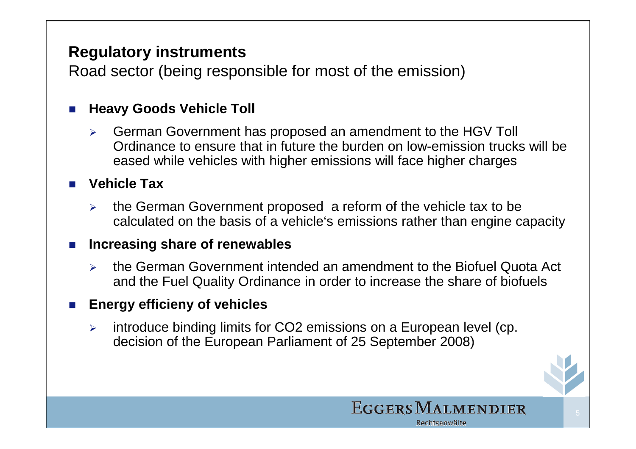Road sector (being responsible for most of the emission)

#### Π **Heavy Goods Vehicle Toll**

 $\blacktriangleright$  German Government has proposed an amendment to the HGV Toll Ordinance to ensure that in future the burden on low-emission trucks will be eased while vehicles with higher emissions will face higher charges

# **Vehicle Tax**

 $\blacktriangleright$  the German Government proposed a reform of the vehicle tax to be calculated on the basis of a vehicle's emissions rather than engine capacity

#### **The State Increasing share of renewables**

 $\blacktriangleright$  the German Government intended an amendment to the Biofuel Quota Act and the Fuel Quality Ordinance in order to increase the share of biofuels

#### $\sim$ **Energy efficieny of vehicles**

 $\blacktriangleright$  introduce binding limits for CO2 emissions on a European level (cp. decision of the European Parliament of 25 September 2008)

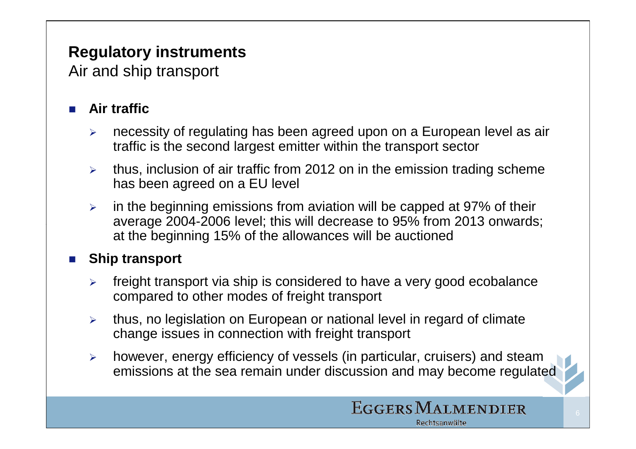Air and ship transport

#### Π **Air traffic**

- $\blacktriangleright$  necessity of regulating has been agreed upon on a European level as air traffic is the second largest emitter within the transport sector
- > thus, inclusion of air traffic from 2012 on in the emission trading scheme has been agreed on a EU level
- $\blacktriangleright$  in the beginning emissions from aviation will be capped at 97% of their average 2004-2006 level; this will decrease to 95% from 2013 onwards;at the beginning 15% of the allowances will be auctioned

#### Π **Ship transport**

- $\blacktriangleright$  freight transport via ship is considered to have a very good ecobalance compared to other modes of freight transport
- $\blacktriangleright$  thus, no legislation on European or national level in regard of climate change issues in connection with freight transport
- $\blacktriangleright$  however, energy efficiency of vessels (in particular, cruisers) and steam emissions at the sea remain under discussion and may become regulated

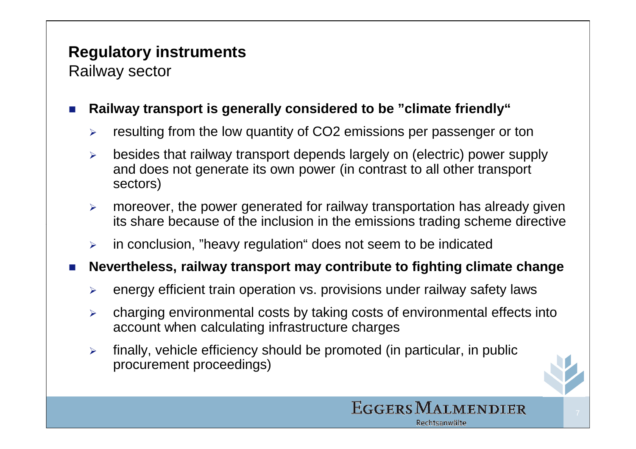Railway sector

#### Π **Railway transport is generally considered to be "climate friendly"**

- $\blacktriangleright$ resulting from the low quantity of CO2 emissions per passenger or ton
- $\blacktriangleright$  besides that railway transport depends largely on (electric) power supply and does not generate its own power (in contrast to all other transport sectors)
- $\blacktriangleright$  moreover, the power generated for railway transportation has already given its share because of the inclusion in the emissions trading scheme directive
- $\blacktriangleright$ in conclusion, "heavy regulation" does not seem to be indicated
- Ŧ **Nevertheless, railway transport may contribute to fighting climate change**
	- $\blacktriangleright$ energy efficient train operation vs. provisions under railway safety laws
	- $\blacktriangleright$  charging environmental costs by taking costs of environmental effects into account when calculating infrastructure charges
	- $\blacktriangleright$  finally, vehicle efficiency should be promoted (in particular, in public procurement proceedings)



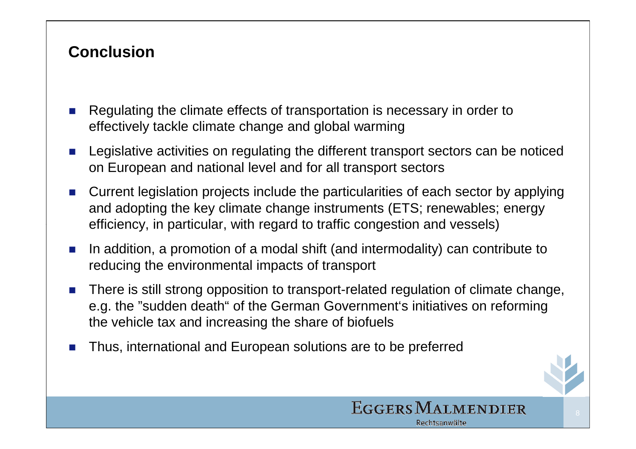### **Conclusion**

- Π Regulating the climate effects of transportation is necessary in order to effectively tackle climate change and global warming
- Ŧ Legislative activities on regulating the different transport sectors can be noticed on European and national level and for all transport sectors
- $\sim$  Current legislation projects include the particularities of each sector by applying and adopting the key climate change instruments (ETS; renewables; energy efficiency, in particular, with regard to traffic congestion and vessels)
- $\sim$  In addition, a promotion of a modal shift (and intermodality) can contribute to reducing the environmental impacts of transport
- Π There is still strong opposition to transport-related regulation of climate change, e.g. the "sudden death" of the German Government's initiatives on reforming the vehicle tax and increasing the share of biofuels
- Π Thus, international and European solutions are to be preferred